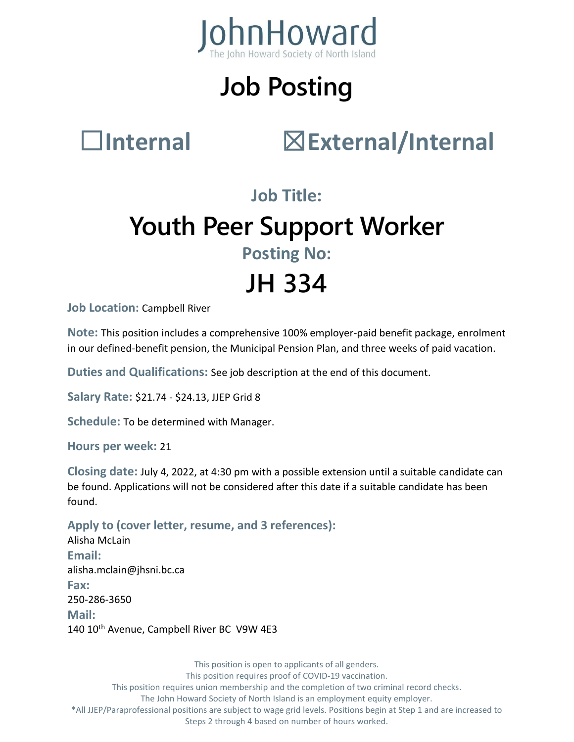

# **Job Posting**

### ☐**Internal** ☒**External/Internal**

### **Job Title: Youth Peer Support Worker Posting No:**

# **JH 334**

**Job Location:** Campbell River

**Note:** This position includes a comprehensive 100% employer-paid benefit package, enrolment in our defined-benefit pension, the Municipal Pension Plan, and three weeks of paid vacation.

**Duties and Qualifications:** See job description at the end of this document.

**Salary Rate:** \$21.74 - \$24.13, JJEP Grid 8

**Schedule:** To be determined with Manager.

**Hours per week:** 21

**Closing date:** July 4, 2022, at 4:30 pm with a possible extension until a suitable candidate can be found. Applications will not be considered after this date if a suitable candidate has been found.

**Apply to (cover letter, resume, and 3 references):** Alisha McLain **Email:** alisha.mclain@jhsni.bc.ca **Fax:** 250-286-3650 **Mail:** 140 10<sup>th</sup> Avenue, Campbell River BC V9W 4E3

This position is open to applicants of all genders. This position requires proof of COVID-19 vaccination. This position requires union membership and the completion of two criminal record checks. The John Howard Society of North Island is an employment equity employer. \*All JJEP/Paraprofessional positions are subject to wage grid levels. Positions begin at Step 1 and are increased to Steps 2 through 4 based on number of hours worked.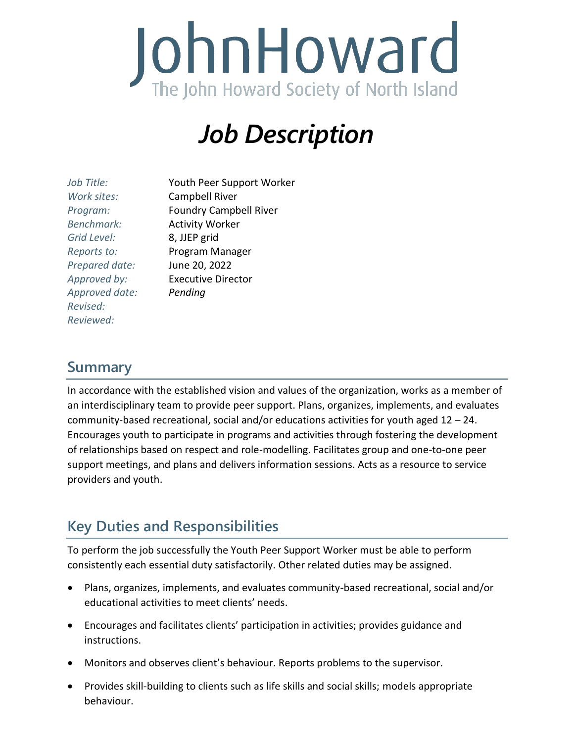

### *Job Description*

| Job Title:        | Youth Peer Support Worker     |
|-------------------|-------------------------------|
| Work sites:       | <b>Campbell River</b>         |
| Program:          | <b>Foundry Campbell River</b> |
| <b>Benchmark:</b> | <b>Activity Worker</b>        |
| Grid Level:       | 8, JJEP grid                  |
| Reports to:       | Program Manager               |
| Prepared date:    | June 20, 2022                 |
| Approved by:      | <b>Executive Director</b>     |
| Approved date:    | Pending                       |
| Revised:          |                               |
| Reviewed:         |                               |

#### **Summary**

In accordance with the established vision and values of the organization, works as a member of an interdisciplinary team to provide peer support. Plans, organizes, implements, and evaluates community-based recreational, social and/or educations activities for youth aged 12 – 24. Encourages youth to participate in programs and activities through fostering the development of relationships based on respect and role-modelling. Facilitates group and one-to-one peer support meetings, and plans and delivers information sessions. Acts as a resource to service providers and youth.

### **Key Duties and Responsibilities**

To perform the job successfully the Youth Peer Support Worker must be able to perform consistently each essential duty satisfactorily. Other related duties may be assigned.

- Plans, organizes, implements, and evaluates community-based recreational, social and/or educational activities to meet clients' needs.
- Encourages and facilitates clients' participation in activities; provides guidance and instructions.
- Monitors and observes client's behaviour. Reports problems to the supervisor.
- Provides skill-building to clients such as life skills and social skills; models appropriate behaviour.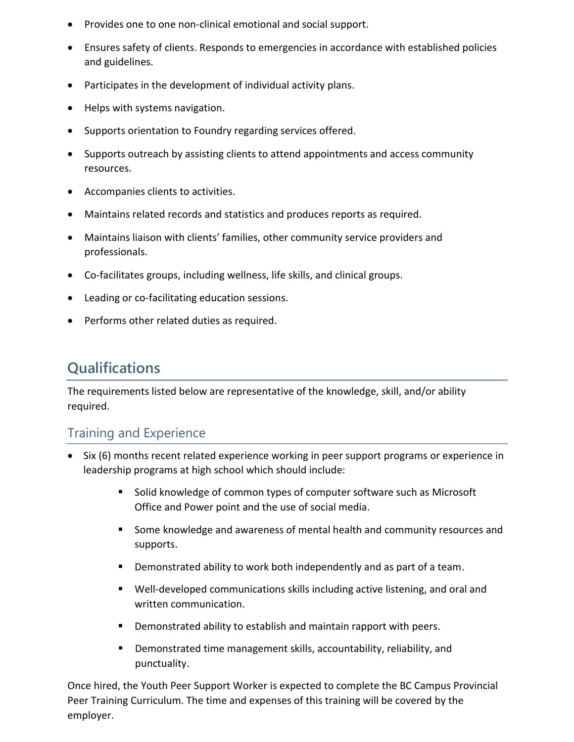- Provides one to one non-clinical emotional and social support.
- Ensures safety of clients. Responds to emergencies in accordance with established policies and guidelines.
- Participates in the development of individual activity plans.
- Helps with systems navigation.
- Supports orientation to Foundry regarding services offered.
- Supports outreach by assisting clients to attend appointments and access community resources.
- Accompanies clients to activities.
- Maintains related records and statistics and produces reports as required.
- Maintains liaison with clients' families, other community service providers and professionals.
- Co-facilitates groups, including wellness, life skills, and clinical groups.
- Leading or co-facilitating education sessions.
- Performs other related duties as required.

#### **Qualifications**

The requirements listed below are representative of the knowledge, skill, and/or ability required.

#### Training and Experience

- Six (6) months recent related experience working in peer support programs or experience in leadership programs at high school which should include:
	- Solid knowledge of common types of computer software such as Microsoft Office and Power point and the use of social media.
	- **Some knowledge and awareness of mental health and community resources and** supports.
	- **Demonstrated ability to work both independently and as part of a team.**
	- Well-developed communications skills including active listening, and oral and written communication.
	- Demonstrated ability to establish and maintain rapport with peers.
	- Demonstrated time management skills, accountability, reliability, and punctuality.

Once hired, the Youth Peer Support Worker is expected to complete the BC Campus Provincial Peer Training Curriculum. The time and expenses of this training will be covered by the employer.